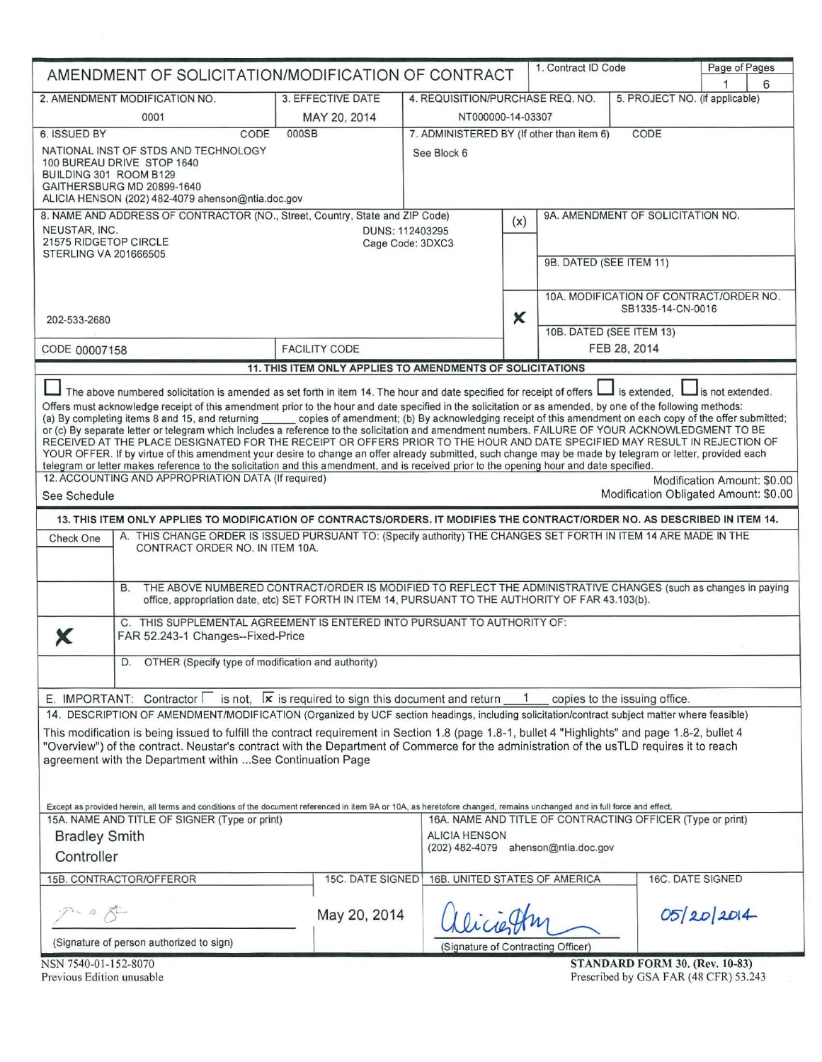| AMENDMENT OF SOLICITATION/MODIFICATION OF CONTRACT                                                                                                                                                                                                                                                                                                                                                                                                                                                                                                                                                                                           |                                                                                                                                                                                                                                   |                                                                                    | 1. Contract ID Code |                                                              | Page of Pages                         |  |  |
|----------------------------------------------------------------------------------------------------------------------------------------------------------------------------------------------------------------------------------------------------------------------------------------------------------------------------------------------------------------------------------------------------------------------------------------------------------------------------------------------------------------------------------------------------------------------------------------------------------------------------------------------|-----------------------------------------------------------------------------------------------------------------------------------------------------------------------------------------------------------------------------------|------------------------------------------------------------------------------------|---------------------|--------------------------------------------------------------|---------------------------------------|--|--|
|                                                                                                                                                                                                                                                                                                                                                                                                                                                                                                                                                                                                                                              |                                                                                                                                                                                                                                   |                                                                                    |                     |                                                              | 6                                     |  |  |
| 2. AMENDMENT MODIFICATION NO.                                                                                                                                                                                                                                                                                                                                                                                                                                                                                                                                                                                                                | 3. EFFECTIVE DATE                                                                                                                                                                                                                 | 4. REQUISITION/PURCHASE REQ. NO.<br>5. PROJECT NO. (if applicable)                 |                     |                                                              |                                       |  |  |
| 0001<br>6. ISSUED BY<br>CODE                                                                                                                                                                                                                                                                                                                                                                                                                                                                                                                                                                                                                 | MAY 20, 2014<br>000SB                                                                                                                                                                                                             | NT000000-14-03307                                                                  |                     |                                                              |                                       |  |  |
| NATIONAL INST OF STDS AND TECHNOLOGY                                                                                                                                                                                                                                                                                                                                                                                                                                                                                                                                                                                                         |                                                                                                                                                                                                                                   | 7. ADMINISTERED BY (If other than item 6)<br>CODE                                  |                     |                                                              |                                       |  |  |
| 100 BUREAU DRIVE STOP 1640<br>BUILDING 301 ROOM B129<br>GAITHERSBURG MD 20899-1640                                                                                                                                                                                                                                                                                                                                                                                                                                                                                                                                                           | See Block 6                                                                                                                                                                                                                       |                                                                                    |                     |                                                              |                                       |  |  |
| ALICIA HENSON (202) 482-4079 ahenson@ntia.doc.gov                                                                                                                                                                                                                                                                                                                                                                                                                                                                                                                                                                                            |                                                                                                                                                                                                                                   |                                                                                    |                     |                                                              |                                       |  |  |
| 8. NAME AND ADDRESS OF CONTRACTOR (NO., Street, Country, State and ZIP Code)                                                                                                                                                                                                                                                                                                                                                                                                                                                                                                                                                                 |                                                                                                                                                                                                                                   | (x)                                                                                |                     | 9A. AMENDMENT OF SOLICITATION NO.                            |                                       |  |  |
| NEUSTAR, INC.<br>21575 RIDGETOP CIRCLE<br><b>STERLING VA 201666505</b>                                                                                                                                                                                                                                                                                                                                                                                                                                                                                                                                                                       | DUNS: 112403295<br>Cage Code: 3DXC3                                                                                                                                                                                               |                                                                                    |                     |                                                              |                                       |  |  |
|                                                                                                                                                                                                                                                                                                                                                                                                                                                                                                                                                                                                                                              |                                                                                                                                                                                                                                   |                                                                                    |                     | 9B. DATED (SEE ITEM 11)                                      |                                       |  |  |
|                                                                                                                                                                                                                                                                                                                                                                                                                                                                                                                                                                                                                                              |                                                                                                                                                                                                                                   | X                                                                                  |                     | 10A. MODIFICATION OF CONTRACT/ORDER NO.<br>SB1335-14-CN-0016 |                                       |  |  |
| 202-533-2680                                                                                                                                                                                                                                                                                                                                                                                                                                                                                                                                                                                                                                 |                                                                                                                                                                                                                                   |                                                                                    |                     | 10B. DATED (SEE ITEM 13)                                     |                                       |  |  |
| CODE 00007158                                                                                                                                                                                                                                                                                                                                                                                                                                                                                                                                                                                                                                | <b>FACILITY CODE</b>                                                                                                                                                                                                              |                                                                                    |                     | FEB 28, 2014                                                 |                                       |  |  |
|                                                                                                                                                                                                                                                                                                                                                                                                                                                                                                                                                                                                                                              | 11. THIS ITEM ONLY APPLIES TO AMENDMENTS OF SOLICITATIONS                                                                                                                                                                         |                                                                                    |                     |                                                              |                                       |  |  |
|                                                                                                                                                                                                                                                                                                                                                                                                                                                                                                                                                                                                                                              |                                                                                                                                                                                                                                   |                                                                                    |                     |                                                              |                                       |  |  |
| The above numbered solicitation is amended as set forth in item 14. The hour and date specified for receipt of offers I is extended, I is not extended.<br>Offers must acknowledge receipt of this amendment prior to the hour and date specified in the solicitation or as amended, by one of the following methods:<br>(a) By completing items 8 and 15, and returning ______ copies of amendment; (b) By acknowledging receipt of this amendment on each copy of the offer submitted;<br>or (c) By separate letter or telegram which includes a reference to the solicitation and amendment numbers. FAILURE OF YOUR ACKNOWLEDGMENT TO BE |                                                                                                                                                                                                                                   |                                                                                    |                     |                                                              |                                       |  |  |
| RECEIVED AT THE PLACE DESIGNATED FOR THE RECEIPT OR OFFERS PRIOR TO THE HOUR AND DATE SPECIFIED MAY RESULT IN REJECTION OF<br>YOUR OFFER. If by virtue of this amendment your desire to change an offer already submitted, such change may be made by telegram or letter, provided each<br>telegram or letter makes reference to the solicitation and this amendment, and is received prior to the opening hour and date specified.                                                                                                                                                                                                          |                                                                                                                                                                                                                                   |                                                                                    |                     |                                                              |                                       |  |  |
| 12. ACCOUNTING AND APPROPRIATION DATA (If required)                                                                                                                                                                                                                                                                                                                                                                                                                                                                                                                                                                                          |                                                                                                                                                                                                                                   |                                                                                    |                     |                                                              | Modification Amount: \$0.00           |  |  |
| See Schedule                                                                                                                                                                                                                                                                                                                                                                                                                                                                                                                                                                                                                                 |                                                                                                                                                                                                                                   |                                                                                    |                     |                                                              | Modification Obligated Amount: \$0.00 |  |  |
| 13. THIS ITEM ONLY APPLIES TO MODIFICATION OF CONTRACTS/ORDERS. IT MODIFIES THE CONTRACT/ORDER NO. AS DESCRIBED IN ITEM 14.                                                                                                                                                                                                                                                                                                                                                                                                                                                                                                                  |                                                                                                                                                                                                                                   |                                                                                    |                     |                                                              |                                       |  |  |
| A. THIS CHANGE ORDER IS ISSUED PURSUANT TO: (Specify authority) THE CHANGES SET FORTH IN ITEM 14 ARE MADE IN THE<br>Check One<br>CONTRACT ORDER NO. IN ITEM 10A.                                                                                                                                                                                                                                                                                                                                                                                                                                                                             |                                                                                                                                                                                                                                   |                                                                                    |                     |                                                              |                                       |  |  |
|                                                                                                                                                                                                                                                                                                                                                                                                                                                                                                                                                                                                                                              |                                                                                                                                                                                                                                   |                                                                                    |                     |                                                              |                                       |  |  |
|                                                                                                                                                                                                                                                                                                                                                                                                                                                                                                                                                                                                                                              | THE ABOVE NUMBERED CONTRACT/ORDER IS MODIFIED TO REFLECT THE ADMINISTRATIVE CHANGES (such as changes in paying<br><b>B.</b><br>office, appropriation date, etc) SET FORTH IN ITEM 14, PURSUANT TO THE AUTHORITY OF FAR 43.103(b). |                                                                                    |                     |                                                              |                                       |  |  |
|                                                                                                                                                                                                                                                                                                                                                                                                                                                                                                                                                                                                                                              | C. THIS SUPPLEMENTAL AGREEMENT IS ENTERED INTO PURSUANT TO AUTHORITY OF:<br>FAR 52.243-1 Changes--Fixed-Price                                                                                                                     |                                                                                    |                     |                                                              |                                       |  |  |
| D. OTHER (Specify type of modification and authority)                                                                                                                                                                                                                                                                                                                                                                                                                                                                                                                                                                                        |                                                                                                                                                                                                                                   |                                                                                    |                     |                                                              |                                       |  |  |
| E. IMPORTANT: Contractor $\Box$ is not, $\Box$ is required to sign this document and return $\Box$ 1                                                                                                                                                                                                                                                                                                                                                                                                                                                                                                                                         |                                                                                                                                                                                                                                   |                                                                                    |                     | copies to the issuing office.                                |                                       |  |  |
| 14. DESCRIPTION OF AMENDMENT/MODIFICATION (Organized by UCF section headings, including solicitation/contract subject matter where feasible)                                                                                                                                                                                                                                                                                                                                                                                                                                                                                                 |                                                                                                                                                                                                                                   |                                                                                    |                     |                                                              |                                       |  |  |
| This modification is being issued to fulfill the contract requirement in Section 1.8 (page 1.8-1, bullet 4 "Highlights" and page 1.8-2, bullet 4<br>"Overview") of the contract. Neustar's contract with the Department of Commerce for the administration of the usTLD requires it to reach<br>agreement with the Department within  See Continuation Page                                                                                                                                                                                                                                                                                  |                                                                                                                                                                                                                                   |                                                                                    |                     |                                                              |                                       |  |  |
|                                                                                                                                                                                                                                                                                                                                                                                                                                                                                                                                                                                                                                              |                                                                                                                                                                                                                                   |                                                                                    |                     |                                                              |                                       |  |  |
| Except as provided herein, all terms and conditions of the document referenced in item 9A or 10A, as heretofore changed, remains unchanged and in full force and effect.                                                                                                                                                                                                                                                                                                                                                                                                                                                                     |                                                                                                                                                                                                                                   |                                                                                    |                     |                                                              |                                       |  |  |
| 15A. NAME AND TITLE OF SIGNER (Type or print)                                                                                                                                                                                                                                                                                                                                                                                                                                                                                                                                                                                                |                                                                                                                                                                                                                                   | 16A. NAME AND TITLE OF CONTRACTING OFFICER (Type or print)<br><b>ALICIA HENSON</b> |                     |                                                              |                                       |  |  |
| <b>Bradley Smith</b><br>Controller                                                                                                                                                                                                                                                                                                                                                                                                                                                                                                                                                                                                           |                                                                                                                                                                                                                                   | (202) 482-4079 ahenson@ntia.doc.gov                                                |                     |                                                              |                                       |  |  |
| 15B. CONTRACTOR/OFFEROR                                                                                                                                                                                                                                                                                                                                                                                                                                                                                                                                                                                                                      |                                                                                                                                                                                                                                   | 15C. DATE SIGNED   16B. UNITED STATES OF AMERICA                                   |                     |                                                              | 16C. DATE SIGNED                      |  |  |
| Đ                                                                                                                                                                                                                                                                                                                                                                                                                                                                                                                                                                                                                                            | May 20, 2014                                                                                                                                                                                                                      |                                                                                    |                     |                                                              | 05/20/2014                            |  |  |
| (Signature of person authorized to sign)                                                                                                                                                                                                                                                                                                                                                                                                                                                                                                                                                                                                     |                                                                                                                                                                                                                                   | (Signature of Contracting Officer)                                                 |                     |                                                              |                                       |  |  |
| NSN 7540-01-152-8070                                                                                                                                                                                                                                                                                                                                                                                                                                                                                                                                                                                                                         |                                                                                                                                                                                                                                   |                                                                                    |                     | <b>STANDARD FORM 30. (Rev. 10-83)</b>                        |                                       |  |  |

Previous Edition unusable

Prescribed by GSA FAR (48 CFR) 53.243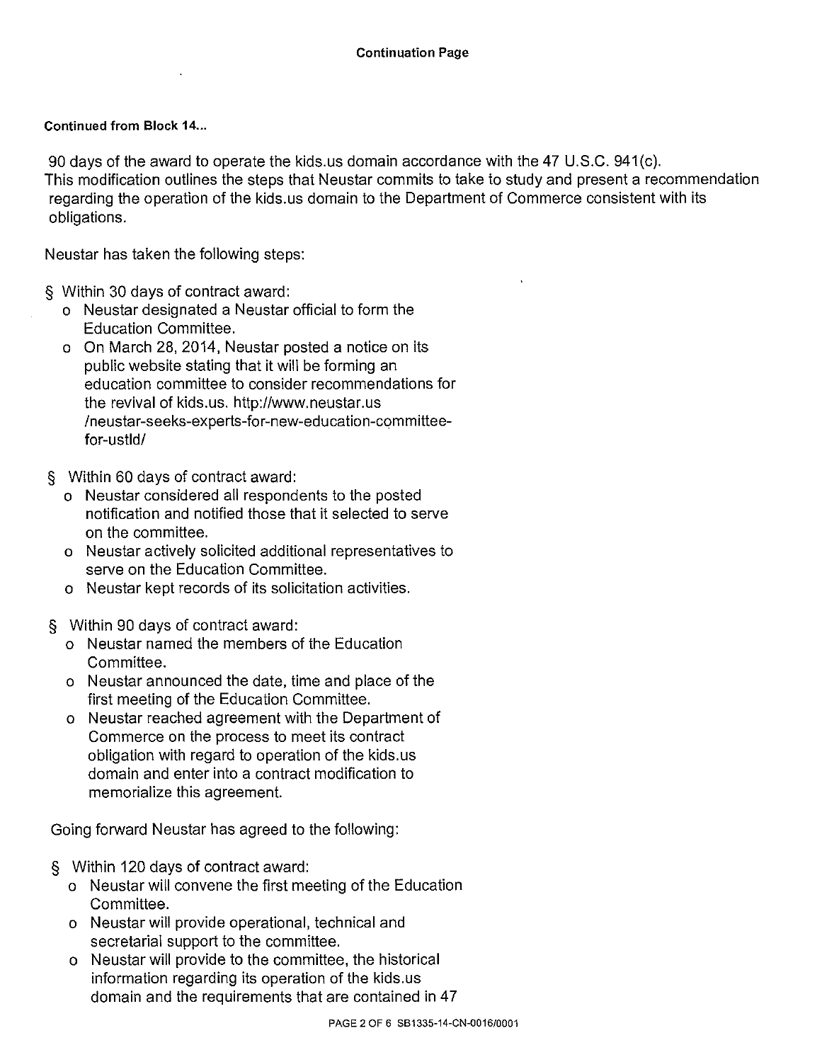## Continued from Block 14...

90 days of the award to operate the kids.us domain accordance with the 47 U.S.C. 941(c). This modification outlines the steps that Neustar commits to take to study and present a recommendation regarding the operation of the kids.us domain to the Department of Commerce consistent with its obligations.

Neustar has taken the following steps:

- § Within 30 days of contract award:
	- o Neustar designated a Neustar official to form the Education Committee.
	- o On March 28, 2014, Neustar posted a notice on its public website stating that it will be forming an education committee to consider recommendations for the revival of kids.us. http://www.neustar.us /neustar-seeks-experts-for-new-education-committeefor-ustld/
- § Within 60 days of contract award:
	- o Neustar considered all respondents to the posted notification and notified those that it selected to serve on the committee.
	- o Neustar actively solicited additional representatives to serve on the Education Committee.
	- o Neustar kept records of its solicitation activities.
- § Within 90 days of contract award:
	- o Neustar named the members of the Education Committee.
	- o Neustar announced the date, time and place of the first meeting of the Education Committee.
	- o Neustar reached agreement with the Department of Commerce on the process to meet its contract obligation with regard to operation of the kids.us domain and enter into a contract modification to memorialize this agreement.

Going forward Neustar has agreed to the following:

- § Within 120 days of contract award:
	- o Neustar will convene the first meeting of the Education Committee.
	- o Neustar will provide operational, technical and secretarial support to the committee.
	- o Neustar will provide to the committee, the historical information regarding its operation of the kids.us domain and the requirements that are contained in 47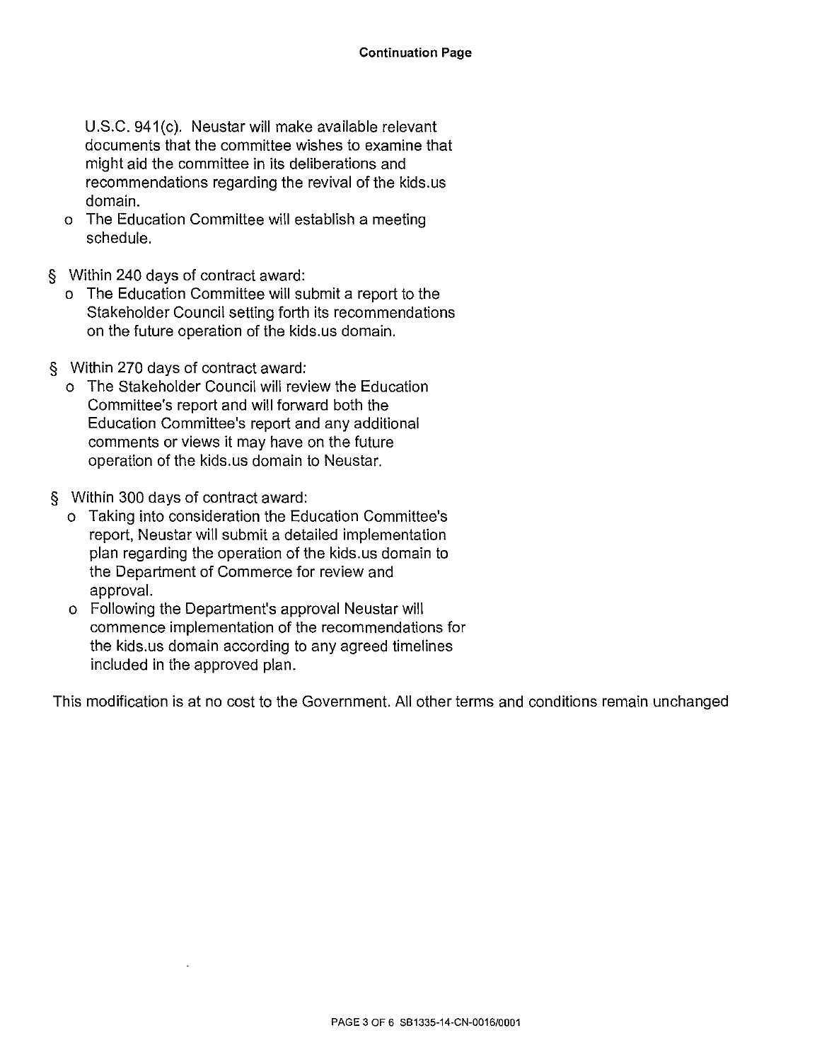U.S.C. 941(c). Neustar will make available relevant documents that the committee wishes to examine that might aid the committee in its deliberations and recommendations regarding the revival of the kids.us domain.

- o The Education Committee will establish a meeting schedule.
- § Within 240 days of contract award:
	- o The Education Committee will submit a report to the Stakeholder Council setting forth its recommendations on the future operation of the kids.us domain.
- § Within 270 days of contract award:
	- o The Stakeholder Council will review the Education Committee's report and will forward both the Education Committee's report and any additional comments or views it may have on the future operation of the kids.us domain to Neustar.
- § Within 300 days of contract award:
	- o Taking into consideration the Education Committee's report, Neustar will submit a detailed implementation plan regarding the operation of the kids.us domain to the Department of Commerce for review and approval.
	- o Following the Department's approval Neustar will commence implementation of the recommendations for the kids. us domain according to any agreed timelines included in the approved plan.

This modification is at no cost to the Government. All other terms and conditions remain unchanged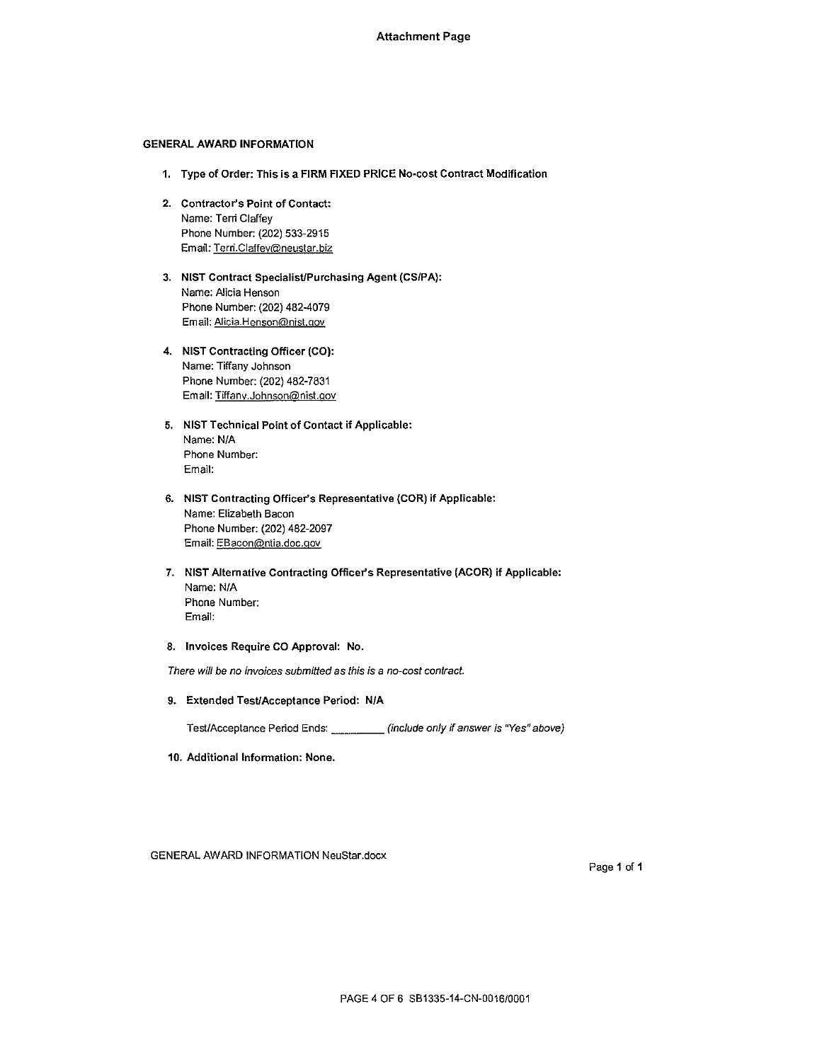## GENERAL AWARD INFORMATION

- **1. Type of Order: This is a FIRM FIXED PRICE No-cost Contract Modification**
- **2. Contractor's Point of Contact:**  Name: Terri Claffey Phone Number: (202) 533-2915 Email: Terri.Ciaffey®neustar.biz
- **3. NIST Contract Specialist/Purchasing Agent (CS/PA}:**  Name: Alicia Henson Phone Number: (202) 482-4079 Email: Alicia.Henson@nist.gov
- **4. NIST Contracting Officer (CO}:**  Name: Tiffany Johnson Phone Number: (202) 482-7831 Email: Tiffanv.Johnson@nist.gov
- **5. NIST Technical Point of Contact if Applicable:**  Name: N/A Phone Number: Email:
- **6. NIST Contracting Officer's Representative (COR) if Applicable:**  Name: Elizabeth Bacon Phone Number: (202) 482-2097 Email: EBacon@ntia.doc.qov
- **7. NIST Alternative Contracting Officer's Representative (ACOR) if Applicable:**  Name: N/A Phone Number: Email:
- **8. Invoices Require CO Approval: No.**

There will be no invoices submitted as this is a no-cost contract.

**9. Extended TesUAcceptance Period: N/A** 

Test/Acceptance Period Ends: \_\_\_\_\_\_ (include only if answer is "Yes" above)

**10. Additional Information: None.** 

GENERAL AWARD INFORMATION NeuStar.docx

Page 1 of 1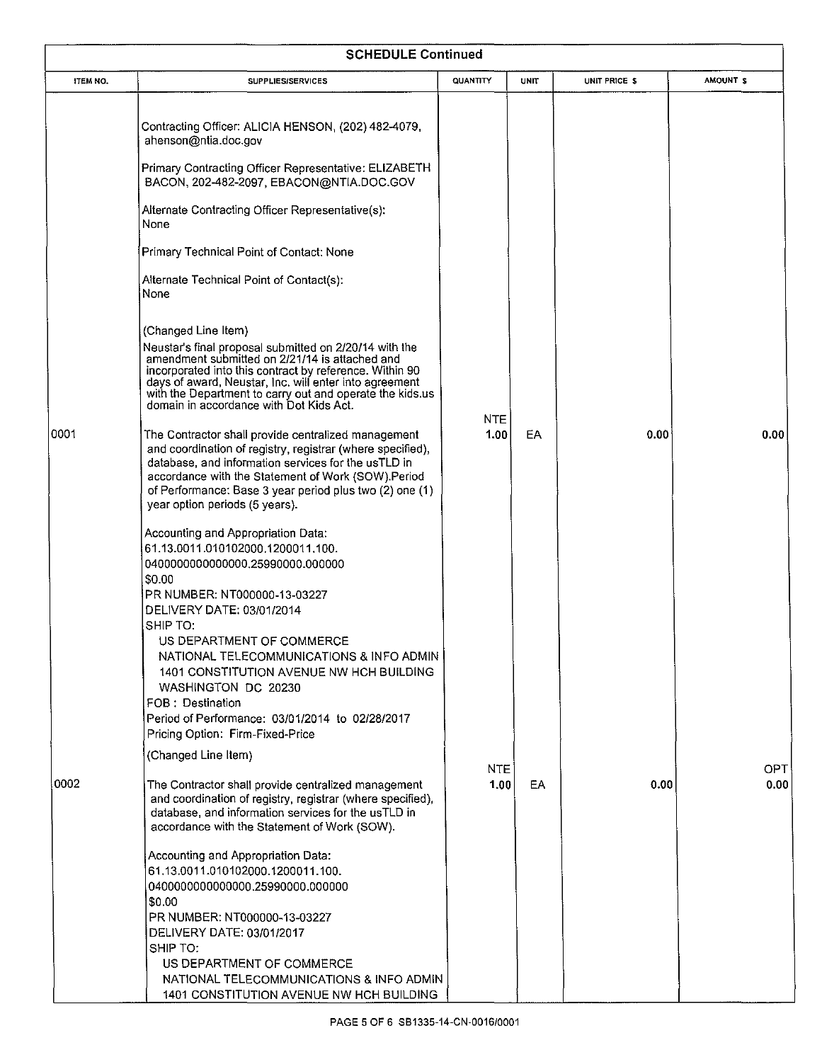| <b>SCHEDULE Continued</b> |                                                                                                                                                                                                                                                                                                                                                             |                    |      |               |                     |  |  |
|---------------------------|-------------------------------------------------------------------------------------------------------------------------------------------------------------------------------------------------------------------------------------------------------------------------------------------------------------------------------------------------------------|--------------------|------|---------------|---------------------|--|--|
| ITEM NO.                  | <b>SUPPLIES/SERVICES</b>                                                                                                                                                                                                                                                                                                                                    | QUANTITY           | UNIT | UNIT PRICE \$ | AMOUNT <sub>S</sub> |  |  |
|                           | Contracting Officer: ALICIA HENSON, (202) 482-4079,<br>ahenson@ntia.doc.gov                                                                                                                                                                                                                                                                                 |                    |      |               |                     |  |  |
|                           | Primary Contracting Officer Representative: ELIZABETH<br>BACON, 202-482-2097, EBACON@NTIA.DOC.GOV                                                                                                                                                                                                                                                           |                    |      |               |                     |  |  |
|                           | Alternate Contracting Officer Representative(s):<br>None                                                                                                                                                                                                                                                                                                    |                    |      |               |                     |  |  |
|                           | Primary Technical Point of Contact: None                                                                                                                                                                                                                                                                                                                    |                    |      |               |                     |  |  |
|                           | Alternate Technical Point of Contact(s):<br>None                                                                                                                                                                                                                                                                                                            |                    |      |               |                     |  |  |
|                           | (Changed Line Item)<br>Neustar's final proposal submitted on 2/20/14 with the<br>amendment submitted on 2/21/14 is attached and<br>incorporated into this contract by reference. Within 90<br>days of award, Neustar, Inc. will enter into agreement<br>with the Department to carry out and operate the kids.us<br>domain in accordance with Dot Kids Act. |                    |      |               |                     |  |  |
| 0001                      | The Contractor shall provide centralized management<br>and coordination of registry, registrar (where specified),<br>database, and information services for the usTLD in<br>accordance with the Statement of Work (SOW).Period<br>of Performance: Base 3 year period plus two (2) one (1)<br>year option periods (5 years).                                 | <b>NTE</b><br>1.00 | EA.  | 0.00          | 0.00                |  |  |
|                           | Accounting and Appropriation Data:<br>61.13.0011.010102000.1200011.100.<br>0400000000000000.25990000.000000<br>\$0.00<br>PR NUMBER: NT000000-13-03227                                                                                                                                                                                                       |                    |      |               |                     |  |  |
|                           | DELIVERY DATE: 03/01/2014<br>SHIP TO:<br>US DEPARTMENT OF COMMERCE<br>NATIONAL TELECOMMUNICATIONS & INFO ADMIN<br>1401 CONSTITUTION AVENUE NW HCH BUILDING<br>WASHINGTON DC 20230<br>FOB: Destination<br>Period of Performance: 03/01/2014 to 02/28/2017<br>Pricing Option: Firm-Fixed-Price                                                                |                    |      |               |                     |  |  |
|                           | (Changed Line Item)                                                                                                                                                                                                                                                                                                                                         | <b>NTE</b>         |      |               | OPT                 |  |  |
| 0002                      | The Contractor shall provide centralized management<br>and coordination of registry, registrar (where specified),<br>database, and information services for the usTLD in<br>accordance with the Statement of Work (SOW).                                                                                                                                    | 1.00               | EA   | 0.00          | 0.00                |  |  |
|                           | Accounting and Appropriation Data:<br>61.13.0011.010102000.1200011.100.<br>0400000000000000.25990000.000000<br>\$0.00<br>PR NUMBER: NT000000-13-03227<br>DELIVERY DATE: 03/01/2017<br>SHIP TO:<br>US DEPARTMENT OF COMMERCE<br>NATIONAL TELECOMMUNICATIONS & INFO ADMIN                                                                                     |                    |      |               |                     |  |  |